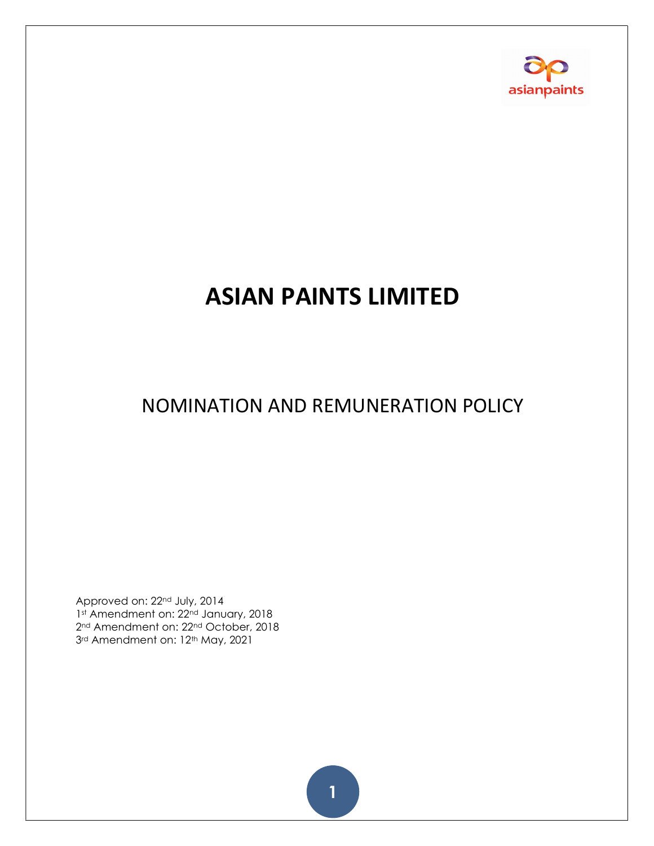

# ASIAN PAINTS LIMITED

## NOMINATION AND REMUNERATION POLICY

Approved on: 22nd July, 2014 1st Amendment on: 22<sup>nd</sup> January, 2018 2<sup>nd</sup> Amendment on: 22<sup>nd</sup> October, 2018 3rd Amendment on: 12<sup>th</sup> May, 2021

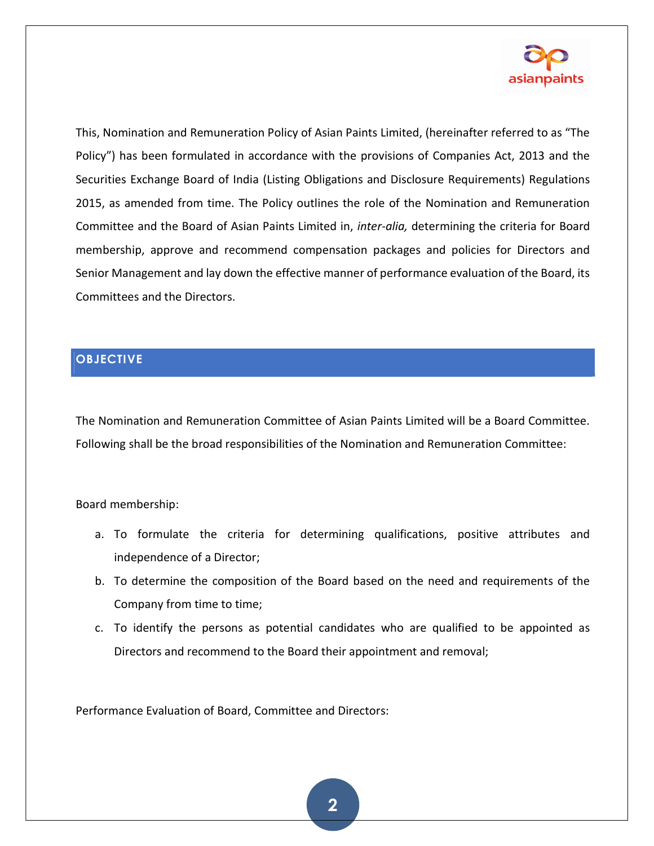

This, Nomination and Remuneration Policy of Asian Paints Limited, (hereinafter referred to as "The Policy") has been formulated in accordance with the provisions of Companies Act, 2013 and the Securities Exchange Board of India (Listing Obligations and Disclosure Requirements) Regulations 2015, as amended from time. The Policy outlines the role of the Nomination and Remuneration Committee and the Board of Asian Paints Limited in, inter-alia, determining the criteria for Board membership, approve and recommend compensation packages and policies for Directors and Senior Management and lay down the effective manner of performance evaluation of the Board, its Committees and the Directors.

#### **OBJECTIVE**

The Nomination and Remuneration Committee of Asian Paints Limited will be a Board Committee. Following shall be the broad responsibilities of the Nomination and Remuneration Committee:

Board membership:

- a. To formulate the criteria for determining qualifications, positive attributes and independence of a Director;
- b. To determine the composition of the Board based on the need and requirements of the Company from time to time;
- c. To identify the persons as potential candidates who are qualified to be appointed as Directors and recommend to the Board their appointment and removal;

Performance Evaluation of Board, Committee and Directors: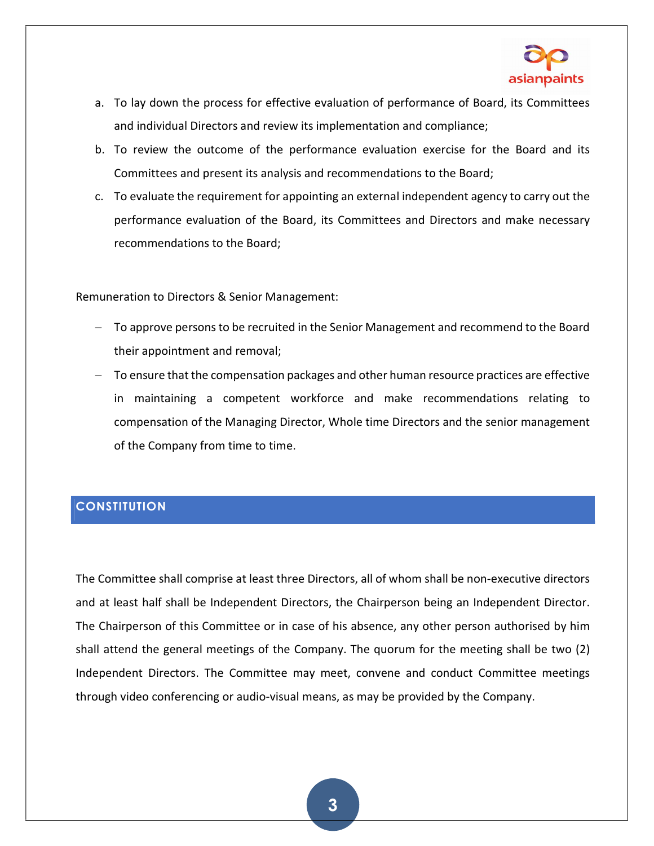

- a. To lay down the process for effective evaluation of performance of Board, its Committees and individual Directors and review its implementation and compliance;
- b. To review the outcome of the performance evaluation exercise for the Board and its Committees and present its analysis and recommendations to the Board;
- c. To evaluate the requirement for appointing an external independent agency to carry out the performance evaluation of the Board, its Committees and Directors and make necessary recommendations to the Board;

Remuneration to Directors & Senior Management:

- To approve persons to be recruited in the Senior Management and recommend to the Board their appointment and removal;
- To ensure that the compensation packages and other human resource practices are effective in maintaining a competent workforce and make recommendations relating to compensation of the Managing Director, Whole time Directors and the senior management of the Company from time to time.

#### **CONSTITUTION**

The Committee shall comprise at least three Directors, all of whom shall be non-executive directors and at least half shall be Independent Directors, the Chairperson being an Independent Director. The Chairperson of this Committee or in case of his absence, any other person authorised by him shall attend the general meetings of the Company. The quorum for the meeting shall be two (2) Independent Directors. The Committee may meet, convene and conduct Committee meetings through video conferencing or audio-visual means, as may be provided by the Company.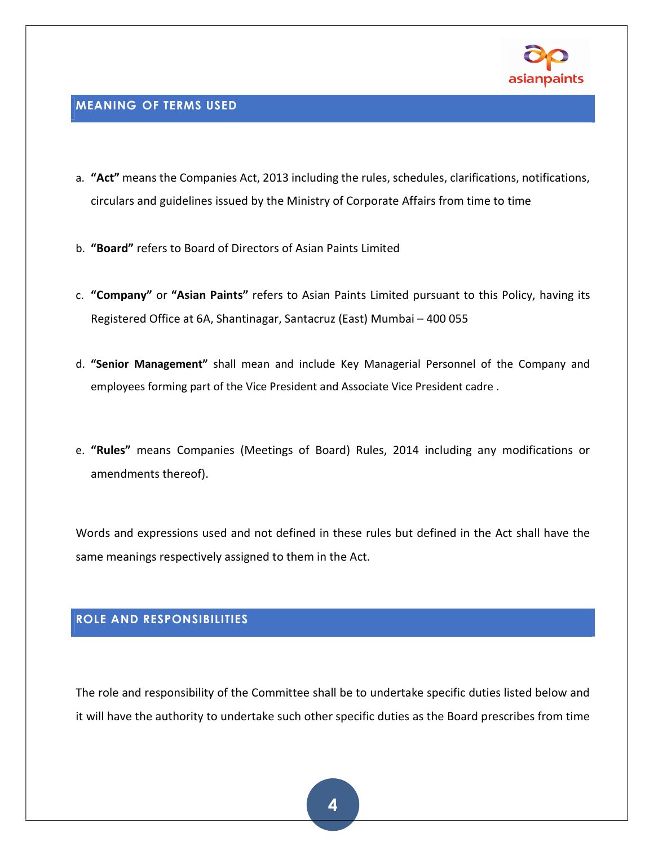

#### MEANING OF TERMS USED

- a. "Act" means the Companies Act, 2013 including the rules, schedules, clarifications, notifications, circulars and guidelines issued by the Ministry of Corporate Affairs from time to time
- b. "Board" refers to Board of Directors of Asian Paints Limited
- c. "Company" or "Asian Paints" refers to Asian Paints Limited pursuant to this Policy, having its Registered Office at 6A, Shantinagar, Santacruz (East) Mumbai – 400 055
- d. "Senior Management" shall mean and include Key Managerial Personnel of the Company and employees forming part of the Vice President and Associate Vice President cadre .
- e. "Rules" means Companies (Meetings of Board) Rules, 2014 including any modifications or amendments thereof).

Words and expressions used and not defined in these rules but defined in the Act shall have the same meanings respectively assigned to them in the Act.

#### ROLE AND RESPONSIBILITIES

The role and responsibility of the Committee shall be to undertake specific duties listed below and it will have the authority to undertake such other specific duties as the Board prescribes from time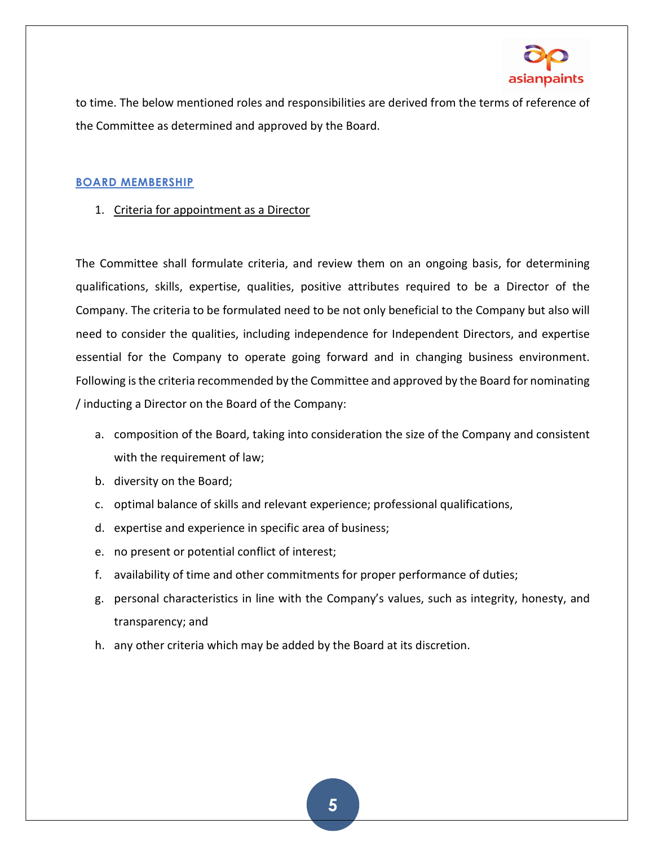

to time. The below mentioned roles and responsibilities are derived from the terms of reference of the Committee as determined and approved by the Board.

#### BOARD MEMBERSHIP

1. Criteria for appointment as a Director

The Committee shall formulate criteria, and review them on an ongoing basis, for determining qualifications, skills, expertise, qualities, positive attributes required to be a Director of the Company. The criteria to be formulated need to be not only beneficial to the Company but also will need to consider the qualities, including independence for Independent Directors, and expertise essential for the Company to operate going forward and in changing business environment. Following is the criteria recommended by the Committee and approved by the Board for nominating / inducting a Director on the Board of the Company:

- a. composition of the Board, taking into consideration the size of the Company and consistent with the requirement of law;
- b. diversity on the Board;
- c. optimal balance of skills and relevant experience; professional qualifications,
- d. expertise and experience in specific area of business;
- e. no present or potential conflict of interest;
- f. availability of time and other commitments for proper performance of duties;
- g. personal characteristics in line with the Company's values, such as integrity, honesty, and transparency; and
- h. any other criteria which may be added by the Board at its discretion.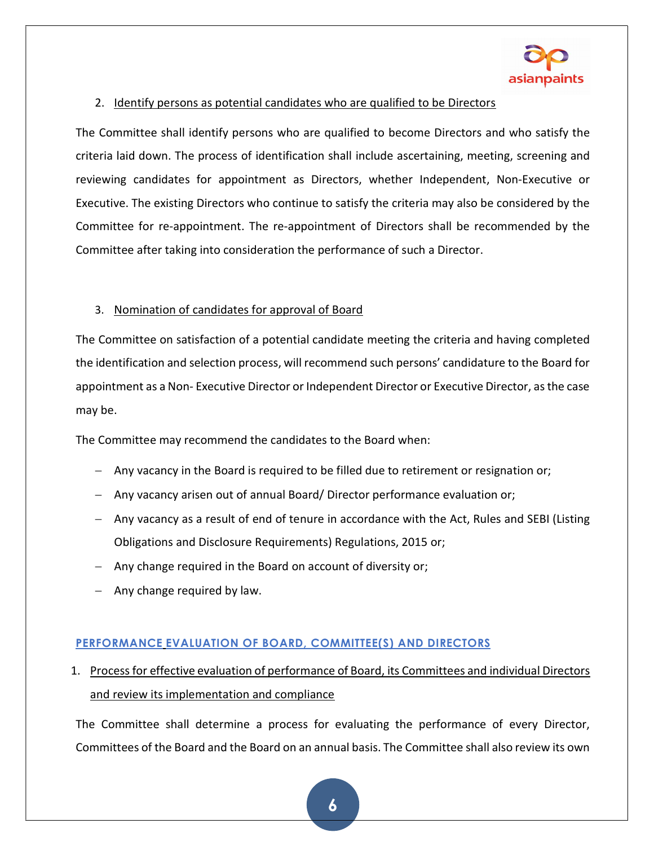

#### 2. Identify persons as potential candidates who are qualified to be Directors

The Committee shall identify persons who are qualified to become Directors and who satisfy the criteria laid down. The process of identification shall include ascertaining, meeting, screening and reviewing candidates for appointment as Directors, whether Independent, Non-Executive or Executive. The existing Directors who continue to satisfy the criteria may also be considered by the Committee for re-appointment. The re-appointment of Directors shall be recommended by the Committee after taking into consideration the performance of such a Director.

#### 3. Nomination of candidates for approval of Board

The Committee on satisfaction of a potential candidate meeting the criteria and having completed the identification and selection process, will recommend such persons' candidature to the Board for appointment as a Non- Executive Director or Independent Director or Executive Director, as the case may be.

The Committee may recommend the candidates to the Board when:

- Any vacancy in the Board is required to be filled due to retirement or resignation or;
- Any vacancy arisen out of annual Board/ Director performance evaluation or;
- Any vacancy as a result of end of tenure in accordance with the Act, Rules and SEBI (Listing Obligations and Disclosure Requirements) Regulations, 2015 or;
- $-$  Any change required in the Board on account of diversity or;
- $-$  Any change required by law.

#### PERFORMANCE EVALUATION OF BOARD, COMMITTEE(S) AND DIRECTORS

## 1. Process for effective evaluation of performance of Board, its Committees and individual Directors and review its implementation and compliance

The Committee shall determine a process for evaluating the performance of every Director, Committees of the Board and the Board on an annual basis. The Committee shall also review its own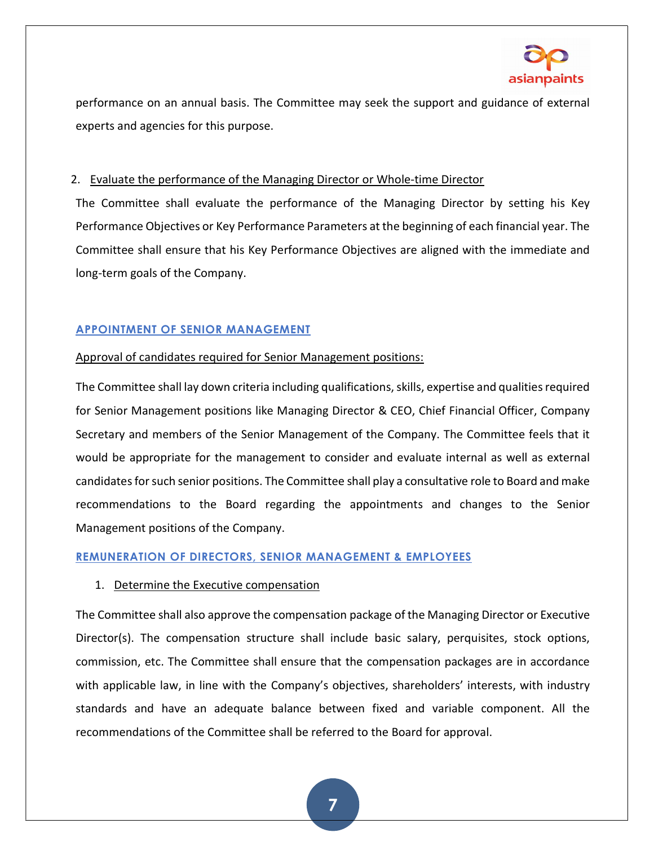

performance on an annual basis. The Committee may seek the support and guidance of external experts and agencies for this purpose.

#### 2. Evaluate the performance of the Managing Director or Whole-time Director

The Committee shall evaluate the performance of the Managing Director by setting his Key Performance Objectives or Key Performance Parameters at the beginning of each financial year. The Committee shall ensure that his Key Performance Objectives are aligned with the immediate and long-term goals of the Company.

#### APPOINTMENT OF SENIOR MANAGEMENT

#### Approval of candidates required for Senior Management positions:

The Committee shall lay down criteria including qualifications, skills, expertise and qualities required for Senior Management positions like Managing Director & CEO, Chief Financial Officer, Company Secretary and members of the Senior Management of the Company. The Committee feels that it would be appropriate for the management to consider and evaluate internal as well as external candidates for such senior positions. The Committee shall play a consultative role to Board and make recommendations to the Board regarding the appointments and changes to the Senior Management positions of the Company.

#### REMUNERATION OF DIRECTORS, SENIOR MANAGEMENT & EMPLOYEES

#### 1. Determine the Executive compensation

The Committee shall also approve the compensation package of the Managing Director or Executive Director(s). The compensation structure shall include basic salary, perquisites, stock options, commission, etc. The Committee shall ensure that the compensation packages are in accordance with applicable law, in line with the Company's objectives, shareholders' interests, with industry standards and have an adequate balance between fixed and variable component. All the recommendations of the Committee shall be referred to the Board for approval.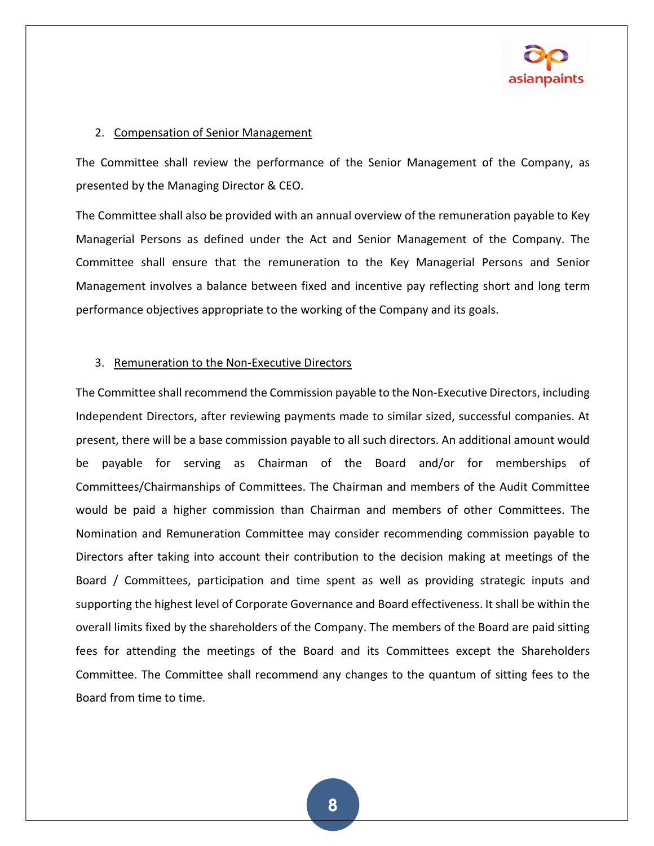

#### 2. Compensation of Senior Management

The Committee shall review the performance of the Senior Management of the Company, as presented by the Managing Director & CEO.

The Committee shall also be provided with an annual overview of the remuneration payable to Key Managerial Persons as defined under the Act and Senior Management of the Company. The Committee shall ensure that the remuneration to the Key Managerial Persons and Senior Management involves a balance between fixed and incentive pay reflecting short and long term performance objectives appropriate to the working of the Company and its goals.

#### 3. Remuneration to the Non-Executive Directors

The Committee shall recommend the Commission payable to the Non-Executive Directors, including Independent Directors, after reviewing payments made to similar sized, successful companies. At present, there will be a base commission payable to all such directors. An additional amount would be payable for serving as Chairman of the Board and/or for memberships of Committees/Chairmanships of Committees. The Chairman and members of the Audit Committee would be paid a higher commission than Chairman and members of other Committees. The Nomination and Remuneration Committee may consider recommending commission payable to Directors after taking into account their contribution to the decision making at meetings of the Board / Committees, participation and time spent as well as providing strategic inputs and supporting the highest level of Corporate Governance and Board effectiveness. It shall be within the overall limits fixed by the shareholders of the Company. The members of the Board are paid sitting fees for attending the meetings of the Board and its Committees except the Shareholders Committee. The Committee shall recommend any changes to the quantum of sitting fees to the Board from time to time.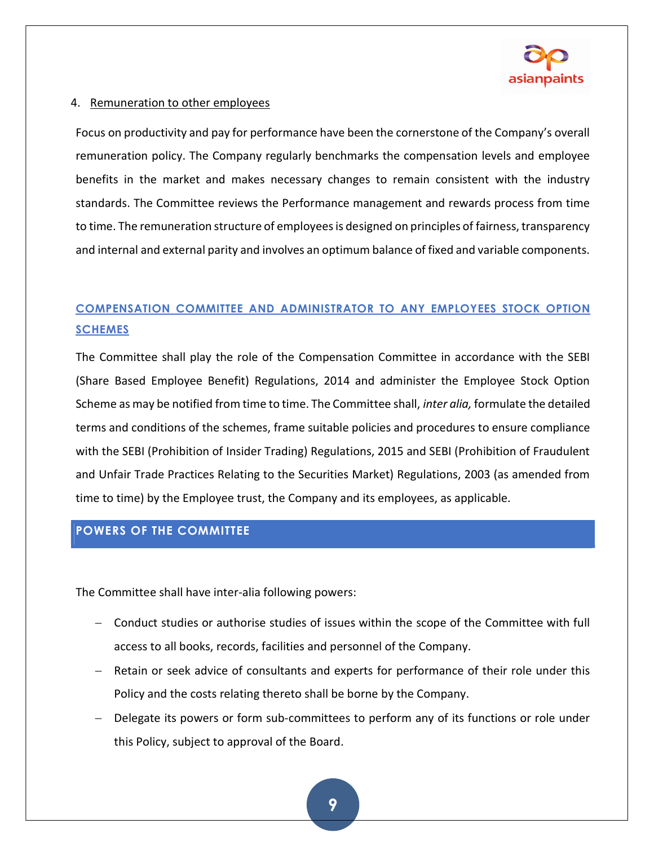

#### 4. Remuneration to other employees

Focus on productivity and pay for performance have been the cornerstone of the Company's overall remuneration policy. The Company regularly benchmarks the compensation levels and employee benefits in the market and makes necessary changes to remain consistent with the industry standards. The Committee reviews the Performance management and rewards process from time to time. The remuneration structure of employees is designed on principles of fairness, transparency and internal and external parity and involves an optimum balance of fixed and variable components.

## COMPENSATION COMMITTEE AND ADMINISTRATOR TO ANY EMPLOYEES STOCK OPTION **SCHEMES**

The Committee shall play the role of the Compensation Committee in accordance with the SEBI (Share Based Employee Benefit) Regulations, 2014 and administer the Employee Stock Option Scheme as may be notified from time to time. The Committee shall, inter alia, formulate the detailed terms and conditions of the schemes, frame suitable policies and procedures to ensure compliance with the SEBI (Prohibition of Insider Trading) Regulations, 2015 and SEBI (Prohibition of Fraudulent and Unfair Trade Practices Relating to the Securities Market) Regulations, 2003 (as amended from time to time) by the Employee trust, the Company and its employees, as applicable.

#### POWERS OF THE COMMITTEE

The Committee shall have inter-alia following powers:

- Conduct studies or authorise studies of issues within the scope of the Committee with full access to all books, records, facilities and personnel of the Company.
- Retain or seek advice of consultants and experts for performance of their role under this Policy and the costs relating thereto shall be borne by the Company.
- Delegate its powers or form sub-committees to perform any of its functions or role under this Policy, subject to approval of the Board.